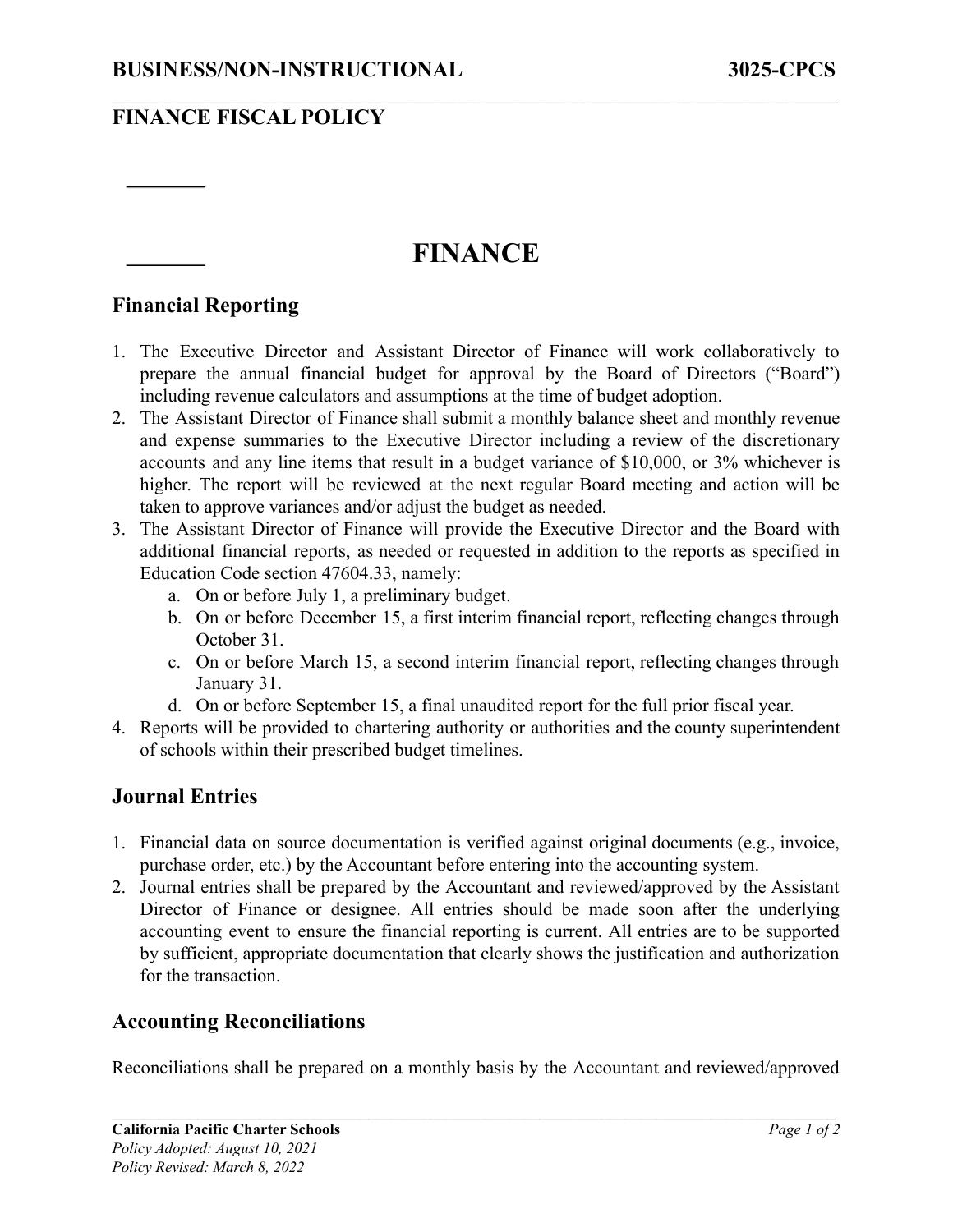## **FINANCE FISCAL POLICY**

# **FINANCE**

 $\mathcal{L}_\mathcal{L} = \{ \mathcal{L}_\mathcal{L} = \{ \mathcal{L}_\mathcal{L} = \{ \mathcal{L}_\mathcal{L} = \{ \mathcal{L}_\mathcal{L} = \{ \mathcal{L}_\mathcal{L} = \{ \mathcal{L}_\mathcal{L} = \{ \mathcal{L}_\mathcal{L} = \{ \mathcal{L}_\mathcal{L} = \{ \mathcal{L}_\mathcal{L} = \{ \mathcal{L}_\mathcal{L} = \{ \mathcal{L}_\mathcal{L} = \{ \mathcal{L}_\mathcal{L} = \{ \mathcal{L}_\mathcal{L} = \{ \mathcal{L}_\mathcal{$ 

#### **Financial Reporting**

- 1. The Executive Director and Assistant Director of Finance will work collaboratively to prepare the annual financial budget for approval by the Board of Directors ("Board") including revenue calculators and assumptions at the time of budget adoption.
- 2. The Assistant Director of Finance shall submit a monthly balance sheet and monthly revenue and expense summaries to the Executive Director including a review of the discretionary accounts and any line items that result in a budget variance of \$10,000, or 3% whichever is higher. The report will be reviewed at the next regular Board meeting and action will be taken to approve variances and/or adjust the budget as needed.
- 3. The Assistant Director of Finance will provide the Executive Director and the Board with additional financial reports, as needed or requested in addition to the reports as specified in Education Code section 47604.33, namely:
	- a. On or before July 1, a preliminary budget.
	- b. On or before December 15, a first interim financial report, reflecting changes through October 31.
	- c. On or before March 15, a second interim financial report, reflecting changes through January 31.
	- d. On or before September 15, a final unaudited report for the full prior fiscal year.
- 4. Reports will be provided to chartering authority or authorities and the county superintendent of schools within their prescribed budget timelines.

#### **Journal Entries**

- 1. Financial data on source documentation is verified against original documents (e.g., invoice, purchase order, etc.) by the Accountant before entering into the accounting system.
- 2. Journal entries shall be prepared by the Accountant and reviewed/approved by the Assistant Director of Finance or designee. All entries should be made soon after the underlying accounting event to ensure the financial reporting is current. All entries are to be supported by sufficient, appropriate documentation that clearly shows the justification and authorization for the transaction.

#### **Accounting Reconciliations**

Reconciliations shall be prepared on a monthly basis by the Accountant and reviewed/approved